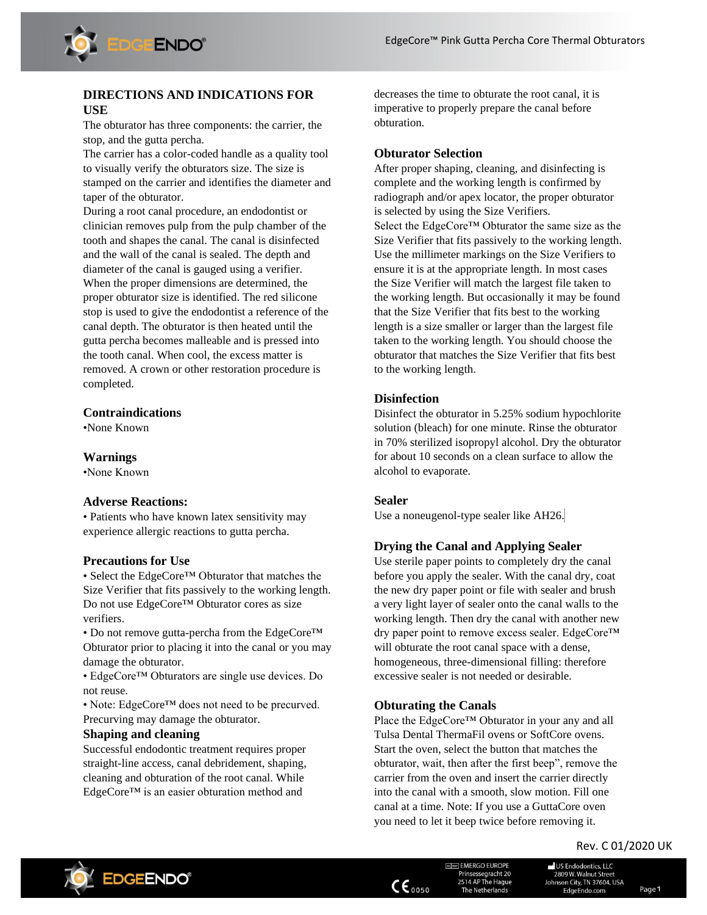

# **DIRECTIONS AND INDICATIONS FOR USE**

The obturator has three components: the carrier, the stop, and the gutta percha.

The carrier has a color-coded handle as a quality tool to visually verify the obturators size. The size is stamped on the carrier and identifies the diameter and taper of the obturator.

During a root canal procedure, an endodontist or clinician removes pulp from the pulp chamber of the tooth and shapes the canal. The canal is disinfected and the wall of the canal is sealed. The depth and diameter of the canal is gauged using a verifier. When the proper dimensions are determined, the proper obturator size is identified. The red silicone stop is used to give the endodontist a reference of the canal depth. The obturator is then heated until the gutta percha becomes malleable and is pressed into the tooth canal. When cool, the excess matter is removed. A crown or other restoration procedure is completed.

### **Contraindications**

•None Known

#### **Warnings**

•None Known

### **Adverse Reactions:**

• Patients who have known latex sensitivity may experience allergic reactions to gutta percha.

#### **Precautions for Use**

• Select the EdgeCore™ Obturator that matches the Size Verifier that fits passively to the working length. Do not use EdgeCore™ Obturator cores as size verifiers.

• Do not remove gutta-percha from the EdgeCore™ Obturator prior to placing it into the canal or you may damage the obturator.

• EdgeCore™ Obturators are single use devices. Do not reuse.

• Note: EdgeCore™ does not need to be precurved. Precurving may damage the obturator.

#### **Shaping and cleaning**

Successful endodontic treatment requires proper straight-line access, canal debridement, shaping, cleaning and obturation of the root canal. While EdgeCore™ is an easier obturation method and

decreases the time to obturate the root canal, it is imperative to properly prepare the canal before obturation.

### **Obturator Selection**

After proper shaping, cleaning, and disinfecting is complete and the working length is confirmed by radiograph and/or apex locator, the proper obturator is selected by using the Size Verifiers. Select the EdgeCore™ Obturator the same size as the Size Verifier that fits passively to the working length. Use the millimeter markings on the Size Verifiers to ensure it is at the appropriate length. In most cases the Size Verifier will match the largest file taken to the working length. But occasionally it may be found that the Size Verifier that fits best to the working length is a size smaller or larger than the largest file taken to the working length. You should choose the obturator that matches the Size Verifier that fits best to the working length.

#### **Disinfection**

Disinfect the obturator in 5.25% sodium hypochlorite solution (bleach) for one minute. Rinse the obturator in 70% sterilized isopropyl alcohol. Dry the obturator for about 10 seconds on a clean surface to allow the alcohol to evaporate.

#### **Sealer**

Use a noneugenol-type sealer like AH26.

### **Drying the Canal and Applying Sealer**

Use sterile paper points to completely dry the canal before you apply the sealer. With the canal dry, coat the new dry paper point or file with sealer and brush a very light layer of sealer onto the canal walls to the working length. Then dry the canal with another new dry paper point to remove excess sealer. EdgeCore™ will obturate the root canal space with a dense, homogeneous, three-dimensional filling: therefore excessive sealer is not needed or desirable.

#### **Obturating the Canals**

Place the EdgeCore™ Obturator in your any and all Tulsa Dental ThermaFil ovens or SoftCore ovens. Start the oven, select the button that matches the obturator, wait, then after the first beep", remove the carrier from the oven and insert the carrier directly into the canal with a smooth, slow motion. Fill one canal at a time. Note: If you use a GuttaCore oven you need to let it beep twice before removing it.







**ECTRICT EMERGO EUROPI** Prinsessegracht 20<br>2514 AP The Hague